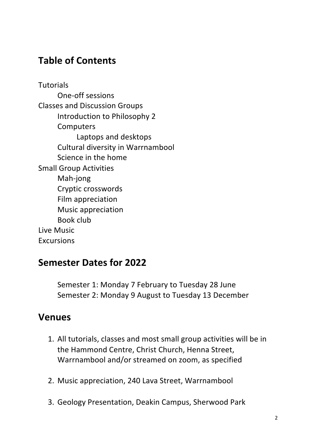# **Table of Contents**

**Tutorials** One-off sessions Classes and Discussion Groups Introduction to Philosophy 2 **Computers** Laptops and desktops Cultural diversity in Warrnambool Science in the home **Small Group Activities** Mah-jong Cryptic crosswords Film appreciation Music appreciation Book club Live Music Excursions

## **Semester Dates for 2022**

Semester 1: Monday 7 February to Tuesday 28 June Semester 2: Monday 9 August to Tuesday 13 December

## **Venues**

- 1. All tutorials, classes and most small group activities will be in the Hammond Centre, Christ Church, Henna Street, Warrnambool and/or streamed on zoom, as specified
- 2. Music appreciation, 240 Lava Street, Warrnambool
- 3. Geology Presentation, Deakin Campus, Sherwood Park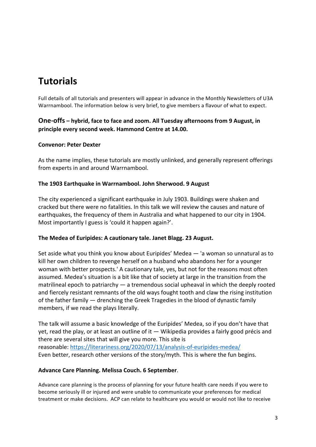# **Tutorials**

Full details of all tutorials and presenters will appear in advance in the Monthly Newsletters of U3A Warrnambool. The information below is very brief, to give members a flavour of what to expect.

### **One-offs** – hybrid, face to face and zoom. All Tuesday afternoons from 9 August, in principle every second week. Hammond Centre at 14.00.

#### **Convenor: Peter Dexter**

As the name implies, these tutorials are mostly unlinked, and generally represent offerings from experts in and around Warrnambool.

#### The 1903 Earthquake in Warrnambool. John Sherwood. 9 August

The city experienced a significant earthquake in July 1903. Buildings were shaken and cracked but there were no fatalities. In this talk we will review the causes and nature of earthquakes, the frequency of them in Australia and what happened to our city in 1904. Most importantly I guess is 'could it happen again?'.

### The Medea of Euripides: A cautionary tale. Janet Blagg. 23 August.

Set aside what you think you know about Euripides' Medea  $-$  'a woman so unnatural as to kill her own children to revenge herself on a husband who abandons her for a younger woman with better prospects.' A cautionary tale, yes, but not for the reasons most often assumed. Medea's situation is a bit like that of society at large in the transition from the matrilineal epoch to patriarchy  $-$  a tremendous social upheaval in which the deeply rooted and fiercely resistant remnants of the old ways fought tooth and claw the rising institution of the father family  $-$  drenching the Greek Tragedies in the blood of dynastic family members, if we read the plays literally.

The talk will assume a basic knowledge of the Euripides' Medea, so if you don't have that yet, read the play, or at least an outline of it  $-$  Wikipedia provides a fairly good précis and there are several sites that will give you more. This site is reasonable: https://literariness.org/2020/07/13/analysis-of-euripides-medea/ Even better, research other versions of the story/myth. This is where the fun begins.

### Advance Care Planning. Melissa Couch. 6 September.

Advance care planning is the process of planning for your future health care needs if you were to become seriously ill or injured and were unable to communicate your preferences for medical treatment or make decisions. ACP can relate to healthcare you would or would not like to receive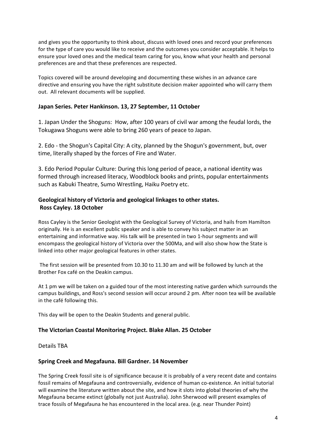and gives you the opportunity to think about, discuss with loved ones and record your preferences for the type of care you would like to receive and the outcomes you consider acceptable. It helps to ensure your loved ones and the medical team caring for you, know what your health and personal preferences are and that these preferences are respected.

Topics covered will be around developing and documenting these wishes in an advance care directive and ensuring you have the right substitute decision maker appointed who will carry them out. All relevant documents will be supplied.

#### Japan Series. Peter Hankinson. 13, 27 September, 11 October

1. Japan Under the Shoguns: How, after 100 years of civil war among the feudal lords, the Tokugawa Shoguns were able to bring 260 years of peace to Japan.

2. Edo - the Shogun's Capital City: A city, planned by the Shogun's government, but, over time, literally shaped by the forces of Fire and Water.

3. Edo Period Popular Culture: During this long period of peace, a national identity was formed through increased literacy, Woodblock books and prints, popular entertainments such as Kabuki Theatre, Sumo Wrestling, Haiku Poetry etc.

### Geological history of Victoria and geological linkages to other states. **Ross Cayley. 18 October**

Ross Cayley is the Senior Geologist with the Geological Survey of Victoria, and hails from Hamilton originally. He is an excellent public speaker and is able to convey his subject matter in an entertaining and informative way. His talk will be presented in two 1-hour segments and will encompass the geological history of Victoria over the 500Ma, and will also show how the State is linked into other major geological features in other states.

The first session will be presented from 10.30 to 11.30 am and will be followed by lunch at the Brother Fox café on the Deakin campus.

At 1 pm we will be taken on a guided tour of the most interesting native garden which surrounds the campus buildings, and Ross's second session will occur around 2 pm. After noon tea will be available in the café following this.

This day will be open to the Deakin Students and general public.

#### **The Victorian Coastal Monitoring Project. Blake Allan. 25 October**

Details TBA

#### **Spring Creek and Megafauna. Bill Gardner. 14 November**

The Spring Creek fossil site is of significance because it is probably of a very recent date and contains fossil remains of Megafauna and controversially, evidence of human co-existence. An initial tutorial will examine the literature written about the site, and how it slots into global theories of why the Megafauna became extinct (globally not just Australia). John Sherwood will present examples of trace fossils of Megafauna he has encountered in the local area. (e.g. near Thunder Point)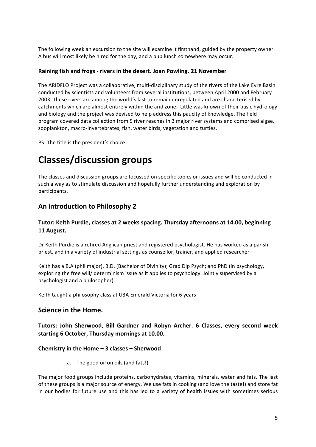The following week an excursion to the site will examine it firsthand, guided by the property owner. A bus will most likely be hired for the day, and a pub lunch somewhere may occur.

#### **Raining fish and frogs - rivers in the desert. Joan Powling. 21 November**

The ARIDFLO Project was a collaborative, multi-disciplinary study of the rivers of the Lake Eyre Basin conducted by scientists and volunteers from several institutions, between April 2000 and February 2003. These rivers are among the world's last to remain unregulated and are characterised by catchments which are almost entirely within the arid zone. Little was known of their basic hydrology and biology and the project was devised to help address this paucity of knowledge. The field program covered data collection from 5 river reaches in 3 major river systems and comprised algae, zooplankton, macro-invertebrates, fish, water birds, vegetation and turtles.

PS: The title is the president's choice.

## **Classes/discussion groups**

The classes and discussion groups are focussed on specific topics or issues and will be conducted in such a way as to stimulate discussion and hopefully further understanding and exploration by participants.

## **An introduction to Philosophy 2**

#### Tutor: Keith Purdie, classes at 2 weeks spacing. Thursday afternoons at 14.00, beginning **11 August.**

Dr Keith Purdie is a retired Anglican priest and registered psychologist. He has worked as a parish priest, and in a variety of industrial settings as counsellor, trainer, and applied researcher

Keith has a B.A (phil major), B.D. (Bachelor of Divinity); Grad Dip Psych; and PhD (in psychology, exploring the free will/ determinism issue as it applies to psychology. Jointly supervised by a psychologist and a philosopher)

Keith taught a philosophy class at U3A Emerald Victoria for 6 years

### **Science in the Home.**

**Tutors: John Sherwood, Bill Gardner and Robyn Archer. 6 Classes, every second week** starting 6 October, Thursday mornings at 10.00.

#### **Chemistry in the Home – 3 classes – Sherwood**

a. The good oil on oils (and fats!)

The major food groups include proteins, carbohydrates, vitamins, minerals, water and fats. The last of these groups is a major source of energy. We use fats in cooking (and love the taste!) and store fat in our bodies for future use and this has led to a variety of health issues with sometimes serious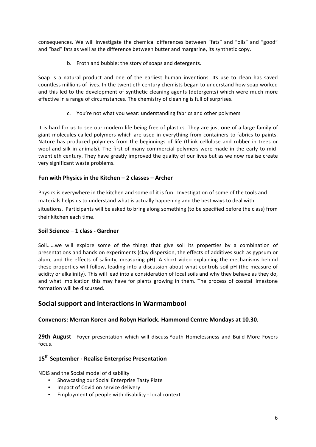consequences. We will investigate the chemical differences between "fats" and "oils" and "good" and "bad" fats as well as the difference between butter and margarine, its synthetic copy.

b. Froth and bubble: the story of soaps and detergents.

Soap is a natural product and one of the earliest human inventions. Its use to clean has saved countless millions of lives. In the twentieth century chemists began to understand how soap worked and this led to the development of synthetic cleaning agents (detergents) which were much more effective in a range of circumstances. The chemistry of cleaning is full of surprises.

c. You're not what you wear: understanding fabrics and other polymers

It is hard for us to see our modern life being free of plastics. They are just one of a large family of giant molecules called polymers which are used in everything from containers to fabrics to paints. Nature has produced polymers from the beginnings of life (think cellulose and rubber in trees or wool and silk in animals). The first of many commercial polymers were made in the early to midtwentieth century. They have greatly improved the quality of our lives but as we now realise create very significant waste problems.

### Fun with Physics in the Kitchen - 2 classes - Archer

Physics is everywhere in the kitchen and some of it is fun. Investigation of some of the tools and materials helps us to understand what is actually happening and the best ways to deal with situations. Participants will be asked to bring along something (to be specified before the class) from their kitchen each time.

#### Soil Science – 1 class - Gardner

Soil......we will explore some of the things that give soil its properties by a combination of presentations and hands on experiments (clay dispersion, the effects of additives such as gypsum or alum, and the effects of salinity, measuring pH). A short video explaining the mechanisms behind these properties will follow, leading into a discussion about what controls soil pH (the measure of acidity or alkalinity). This will lead into a consideration of local soils and why they behave as they do, and what implication this may have for plants growing in them. The process of coastal limestone formation will be discussed.

## **Social support and interactions in Warrnambool**

### **Convenors: Merran Koren and Robyn Harlock. Hammond Centre Mondays at 10.30.**

**29th August** - Foyer presentation which will discuss Youth Homelessness and Build More Foyers focus.

### **15th September - Realise Enterprise Presentation**

NDIS and the Social model of disability

- Showcasing our Social Enterprise Tasty Plate
- Impact of Covid on service delivery
- Employment of people with disability local context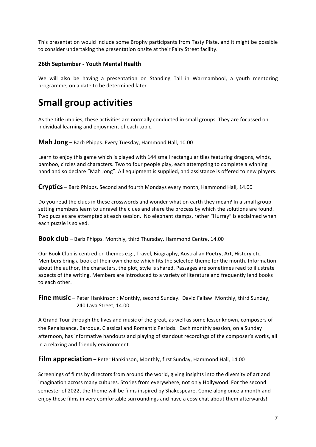This presentation would include some Brophy participants from Tasty Plate, and it might be possible to consider undertaking the presentation onsite at their Fairy Street facility.

### **26th September - Youth Mental Health**

We will also be having a presentation on Standing Tall in Warrnambool, a youth mentoring programme, on a date to be determined later.

# **Small group activities**

As the title implies, these activities are normally conducted in small groups. They are focussed on individual learning and enjoyment of each topic.

**Mah Jong** – Barb Phipps. Every Tuesday, Hammond Hall, 10.00

Learn to enjoy this game which is played with 144 small rectangular tiles featuring dragons, winds, bamboo, circles and characters. Two to four people play, each attempting to complete a winning hand and so declare "Mah Jong". All equipment is supplied, and assistance is offered to new players.

**Cryptics** – Barb Phipps. Second and fourth Mondays every month, Hammond Hall, 14.00

Do you read the clues in these crosswords and wonder what on earth they mean? In a small group setting members learn to unravel the clues and share the process by which the solutions are found. Two puzzles are attempted at each session. No elephant stamps, rather "Hurray" is exclaimed when each puzzle is solved.

**Book club** – Barb Phipps. Monthly, third Thursday, Hammond Centre, 14.00

Our Book Club is centred on themes e.g., Travel, Biography, Australian Poetry, Art, History etc. Members bring a book of their own choice which fits the selected theme for the month. Information about the author, the characters, the plot, style is shared. Passages are sometimes read to illustrate aspects of the writing. Members are introduced to a variety of literature and frequently lend books to each other.

**Fine music** – Peter Hankinson : Monthly, second Sunday. David Fallaw: Monthly, third Sunday, 240 Lava Street, 14.00

A Grand Tour through the lives and music of the great, as well as some lesser known, composers of the Renaissance, Baroque, Classical and Romantic Periods. Each monthly session, on a Sunday afternoon, has informative handouts and playing of standout recordings of the composer's works, all in a relaxing and friendly environment.

**Film appreciation** – Peter Hankinson, Monthly, first Sunday, Hammond Hall, 14.00

Screenings of films by directors from around the world, giving insights into the diversity of art and imagination across many cultures. Stories from everywhere, not only Hollywood. For the second semester of 2022, the theme will be films inspired by Shakespeare. Come along once a month and enjoy these films in very comfortable surroundings and have a cosy chat about them afterwards!